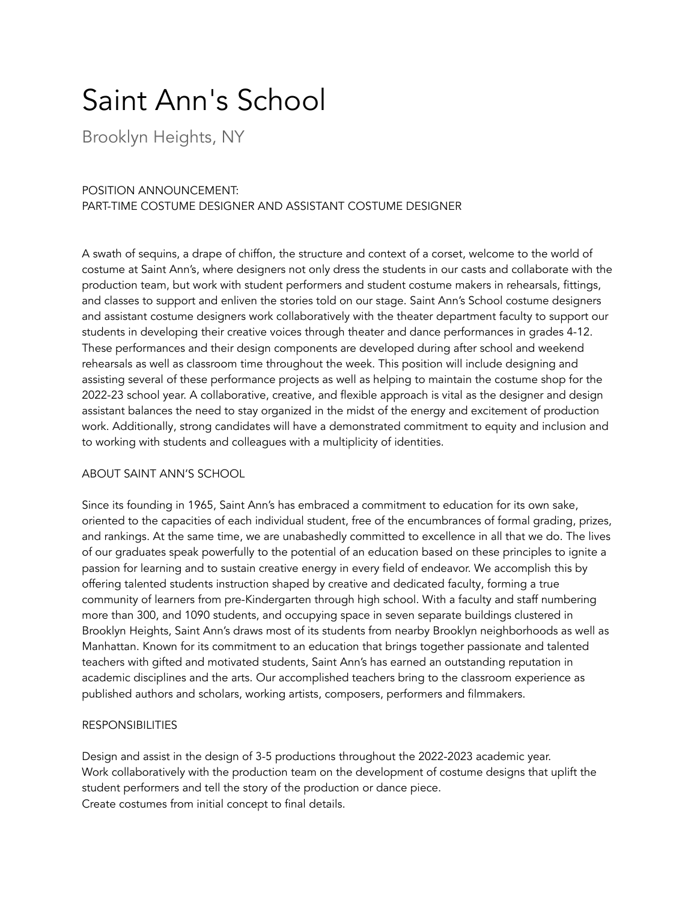# Saint Ann's School

Brooklyn Heights, NY

## POSITION ANNOUNCEMENT: PART-TIME COSTUME DESIGNER AND ASSISTANT COSTUME DESIGNER

A swath of sequins, a drape of chiffon, the structure and context of a corset, welcome to the world of costume at Saint Ann's, where designers not only dress the students in our casts and collaborate with the production team, but work with student performers and student costume makers in rehearsals, fittings, and classes to support and enliven the stories told on our stage. Saint Ann's School costume designers and assistant costume designers work collaboratively with the theater department faculty to support our students in developing their creative voices through theater and dance performances in grades 4-12. These performances and their design components are developed during after school and weekend rehearsals as well as classroom time throughout the week. This position will include designing and assisting several of these performance projects as well as helping to maintain the costume shop for the 2022-23 school year. A collaborative, creative, and flexible approach is vital as the designer and design assistant balances the need to stay organized in the midst of the energy and excitement of production work. Additionally, strong candidates will have a demonstrated commitment to equity and inclusion and to working with students and colleagues with a multiplicity of identities.

### ABOUT SAINT ANN'S SCHOOL

Since its founding in 1965, Saint Ann's has embraced a commitment to education for its own sake, oriented to the capacities of each individual student, free of the encumbrances of formal grading, prizes, and rankings. At the same time, we are unabashedly committed to excellence in all that we do. The lives of our graduates speak powerfully to the potential of an education based on these principles to ignite a passion for learning and to sustain creative energy in every field of endeavor. We accomplish this by offering talented students instruction shaped by creative and dedicated faculty, forming a true community of learners from pre-Kindergarten through high school. With a faculty and staff numbering more than 300, and 1090 students, and occupying space in seven separate buildings clustered in Brooklyn Heights, Saint Ann's draws most of its students from nearby Brooklyn neighborhoods as well as Manhattan. Known for its commitment to an education that brings together passionate and talented teachers with gifted and motivated students, Saint Ann's has earned an outstanding reputation in academic disciplines and the arts. Our accomplished teachers bring to the classroom experience as published authors and scholars, working artists, composers, performers and filmmakers.

### RESPONSIBILITIES

Design and assist in the design of 3-5 productions throughout the 2022-2023 academic year. Work collaboratively with the production team on the development of costume designs that uplift the student performers and tell the story of the production or dance piece. Create costumes from initial concept to final details.